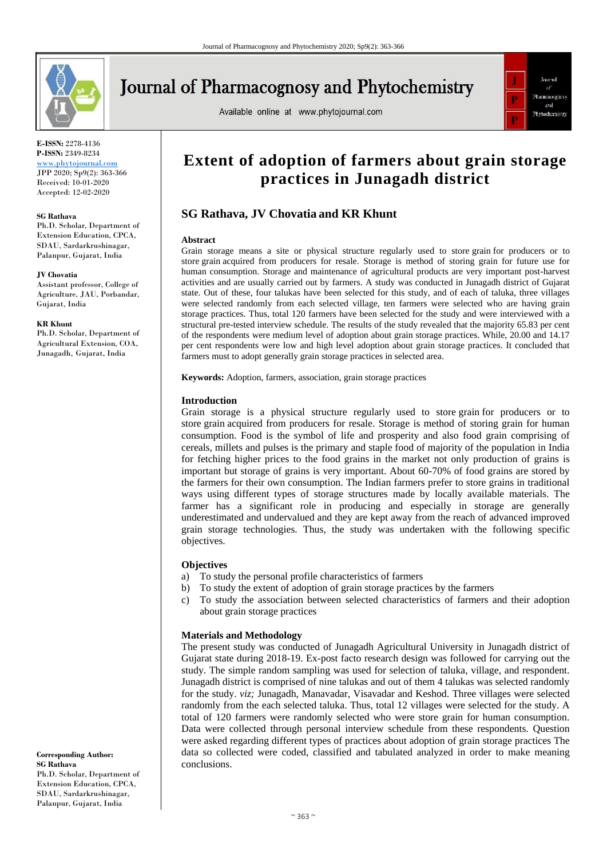

# **Journal of Pharmacognosy and Phytochemistry**

Available online at www.phytojournal.com



**E-ISSN:** 2278-4136 **P-ISSN:** 2349-8234

<www.phytojournal.com> JPP 2020; Sp9(2): 363-366 Received: 10-01-2020 Accepted: 12-02-2020

#### **SG Rathava**

Ph.D. Scholar, Department of Extension Education, CPCA, SDAU, Sardarkrushinagar, Palanpur, Gujarat, India

#### **JV Chovatia**

Assistant professor, College of Agriculture, JAU, Porbandar, Gujarat, India

#### **KR Khunt**

Ph.D. Scholar, Department of Agricultural Extension, COA, Junagadh, Gujarat, India

**Corresponding Author: SG Rathava** Ph.D. Scholar, Department of Extension Education, CPCA, SDAU, Sardarkrushinagar, Palanpur, Gujarat, India

## **Extent of adoption of farmers about grain storage practices in Junagadh district**

## **SG Rathava, JV Chovatia and KR Khunt**

#### **Abstract**

Grain storage means a site or physical structure regularly used to store grain for producers or to store grain acquired from producers for resale. Storage is method of storing grain for future use for human consumption. Storage and maintenance of agricultural products are very important post-harvest activities and are usually carried out by farmers. A study was conducted in Junagadh district of Gujarat state. Out of these, four talukas have been selected for this study, and of each of taluka, three villages were selected randomly from each selected village, ten farmers were selected who are having grain storage practices. Thus, total 120 farmers have been selected for the study and were interviewed with a structural pre-tested interview schedule. The results of the study revealed that the majority 65.83 per cent of the respondents were medium level of adoption about grain storage practices. While, 20.00 and 14.17 per cent respondents were low and high level adoption about grain storage practices. It concluded that farmers must to adopt generally grain storage practices in selected area.

**Keywords:** Adoption, farmers, association, grain storage practices

#### **Introduction**

Grain storage is a physical structure regularly used to store grain for producers or to store grain acquired from producers for resale. Storage is method of storing grain for human consumption. Food is the symbol of life and prosperity and also food grain comprising of cereals, millets and pulses is the primary and staple food of majority of the population in India for fetching higher prices to the food grains in the market not only production of grains is important but storage of grains is very important. About 60-70% of food grains are stored by the farmers for their own consumption. The Indian farmers prefer to store grains in traditional ways using different types of storage structures made by locally available materials. The farmer has a significant role in producing and especially in storage are generally underestimated and undervalued and they are kept away from the reach of advanced improved grain storage technologies. Thus, the study was undertaken with the following specific objectives.

#### **Objectives**

- a) To study the personal profile characteristics of farmers
- b) To study the extent of adoption of grain storage practices by the farmers
- c) To study the association between selected characteristics of farmers and their adoption about grain storage practices

#### **Materials and Methodology**

The present study was conducted of Junagadh Agricultural University in Junagadh district of Gujarat state during 2018-19. Ex-post facto research design was followed for carrying out the study. The simple random sampling was used for selection of taluka, village, and respondent. Junagadh district is comprised of nine talukas and out of them 4 talukas was selected randomly for the study. *viz;* Junagadh, Manavadar, Visavadar and Keshod. Three villages were selected randomly from the each selected taluka. Thus, total 12 villages were selected for the study. A total of 120 farmers were randomly selected who were store grain for human consumption. Data were collected through personal interview schedule from these respondents. Question were asked regarding different types of practices about adoption of grain storage practices The data so collected were coded, classified and tabulated analyzed in order to make meaning conclusions.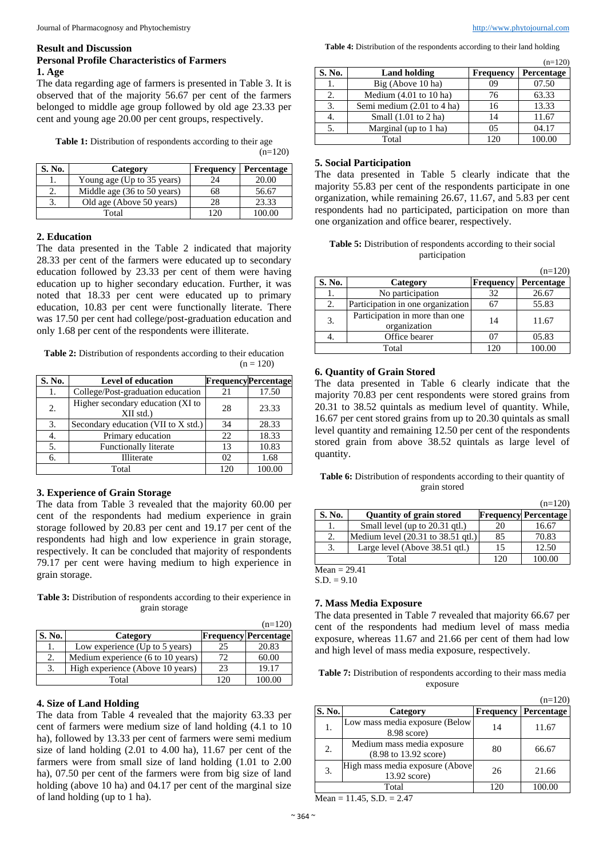#### **Result and Discussion Personal Profile Characteristics of Farmers 1. Age**

The data regarding age of farmers is presented in Table 3. It is observed that of the majority 56.67 per cent of the farmers belonged to middle age group followed by old age 23.33 per cent and young age 20.00 per cent groups, respectively.

**Table 1:** Distribution of respondents according to their age

| S. No. | Category                    | <b>Frequency</b> | Percentage |
|--------|-----------------------------|------------------|------------|
|        | Young age (Up to 35 years)  | 24               | 20.00      |
|        | Middle age (36 to 50 years) | 68               | 56.67      |
|        | Old age (Above 50 years)    | 28               | 23.33      |
|        | Total                       |                  |            |

#### **2. Education**

The data presented in the Table 2 indicated that majority 28.33 per cent of the farmers were educated up to secondary education followed by 23.33 per cent of them were having education up to higher secondary education. Further, it was noted that 18.33 per cent were educated up to primary education, 10.83 per cent were functionally literate. There was 17.50 per cent had college/post-graduation education and only 1.68 per cent of the respondents were illiterate.

**Table 2:** Distribution of respondents according to their education  $(n = 120)$ 

| S. No. | <b>Level of education</b>                        |     | <b>FrequencyPercentage</b> |
|--------|--------------------------------------------------|-----|----------------------------|
| 1.     | College/Post-graduation education                | 21  | 17.50                      |
| 2.     | Higher secondary education (XI to<br>$XII$ std.) | 28  | 23.33                      |
| 3.     | Secondary education (VII to X std.)              | 34  | 28.33                      |
| 4.     | Primary education                                | 22  | 18.33                      |
| 5.     | <b>Functionally literate</b>                     | 13  | 10.83                      |
| б.     | Illiterate                                       | 02  | 1.68                       |
|        | Total                                            | 120 | 100.00                     |

## **3. Experience of Grain Storage**

The data from Table 3 revealed that the majority 60.00 per cent of the respondents had medium experience in grain storage followed by 20.83 per cent and 19.17 per cent of the respondents had high and low experience in grain storage, respectively. It can be concluded that majority of respondents 79.17 per cent were having medium to high experience in grain storage.

**Table 3:** Distribution of respondents according to their experience in grain storage

|        |                                   |     | $(n=120)$                   |
|--------|-----------------------------------|-----|-----------------------------|
| S. No. | Category                          |     | <b>Frequency Percentage</b> |
| ı.     | Low experience (Up to 5 years)    | 25  | 20.83                       |
| 2.     | Medium experience (6 to 10 years) | 72  | 60.00                       |
| 3.     | High experience (Above 10 years)  | 23  | 19.17                       |
|        | Total                             | 120 | 100.00                      |

## **4. Size of Land Holding**

The data from Table 4 revealed that the majority 63.33 per cent of farmers were medium size of land holding (4.1 to 10 ha), followed by 13.33 per cent of farmers were semi medium size of land holding (2.01 to 4.00 ha), 11.67 per cent of the farmers were from small size of land holding (1.01 to 2.00 ha), 07.50 per cent of the farmers were from big size of land holding (above 10 ha) and 04.17 per cent of the marginal size of land holding (up to 1 ha).

**Table 4:** Distribution of the respondents according to their land holding

|        |                            |                  | $(n=120)$  |
|--------|----------------------------|------------------|------------|
| S. No. | <b>Land holding</b>        | <b>Frequency</b> | Percentage |
| 1.     | Big (Above 10 ha)          | 09               | 07.50      |
| 2.     | Medium $(4.01$ to $10$ ha) | 76               | 63.33      |
| 3.     | Semi medium (2.01 to 4 ha) | 16               | 13.33      |
| 4.     | Small $(1.01$ to $2$ ha)   | 14               | 11.67      |
| 5.     | Marginal (up to 1 ha)      | 0 <sub>5</sub>   | 04.17      |
|        | Total                      | 12f              | 100.00     |

## **5. Social Participation**

 $(n=120)$ 

The data presented in Table 5 clearly indicate that the majority 55.83 per cent of the respondents participate in one organization, while remaining 26.67, 11.67, and 5.83 per cent respondents had no participated, participation on more than one organization and office bearer, respectively.

| <b>Table 5:</b> Distribution of respondents according to their social |  |
|-----------------------------------------------------------------------|--|
| participation                                                         |  |

|                        |                                                |                  | $(n=120)$  |
|------------------------|------------------------------------------------|------------------|------------|
| S. No.                 | Category                                       | <b>Frequency</b> | Percentage |
| 1.                     | No participation                               | 32               | 26.67      |
| 2.                     | Participation in one organization              | 67               | 55.83      |
| 3.                     | Participation in more than one<br>organization | 14               | 11.67      |
| 4.                     | Office bearer                                  | 07               | 05.83      |
| 100.00<br>120<br>Total |                                                |                  |            |

## **6. Quantity of Grain Stored**

The data presented in Table 6 clearly indicate that the majority 70.83 per cent respondents were stored grains from 20.31 to 38.52 quintals as medium level of quantity. While, 16.67 per cent stored grains from up to 20.30 quintals as small level quantity and remaining 12.50 per cent of the respondents stored grain from above 38.52 quintals as large level of quantity.

**Table 6:** Distribution of respondents according to their quantity of grain stored

|                        |                                    |    | $(n=120)$                   |
|------------------------|------------------------------------|----|-----------------------------|
| S. No.                 | <b>Quantity of grain stored</b>    |    | <b>Frequency Percentage</b> |
| l.                     | Small level (up to 20.31 gtl.)     | 20 | 16.67                       |
| 2.                     | Medium level (20.31 to 38.51 gtl.) | 85 | 70.83                       |
| 3.                     | Large level (Above 38.51 qtl.)     | 15 | 12.50                       |
| 120<br>100.00<br>Total |                                    |    |                             |

 $Mean = 29.41$ 

 $S.D. = 9.10$ 

#### **7. Mass Media Exposure**

The data presented in Table 7 revealed that majority 66.67 per cent of the respondents had medium level of mass media exposure, whereas 11.67 and 21.66 per cent of them had low and high level of mass media exposure, respectively.

**Table 7:** Distribution of respondents according to their mass media exposure

|        |                                                     |                  | $(n=120)$  |
|--------|-----------------------------------------------------|------------------|------------|
| S. No. | Category                                            | <b>Frequency</b> | Percentage |
| 1.     | Low mass media exposure (Below<br>$8.98$ score)     | 14               | 11.67      |
| 2.     | Medium mass media exposure<br>(8.98 to 13.92 score) | 80               | 66.67      |
| 3.     | High mass media exposure (Above<br>13.92 score)     | 26               | 21.66      |
|        | Total                                               | 120              |            |

 $Mean = 11.45, S.D. = 2.47$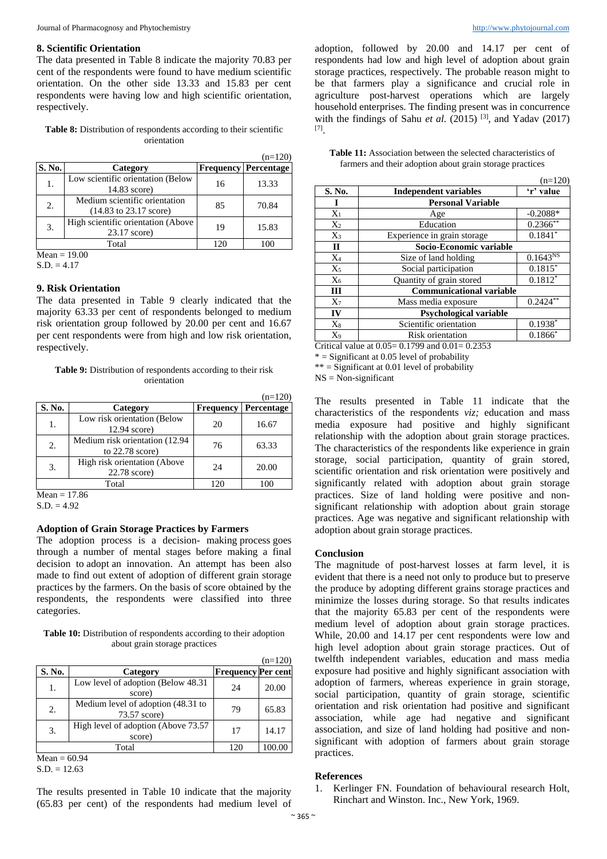#### **8. Scientific Orientation**

The data presented in Table 8 indicate the majority 70.83 per cent of the respondents were found to have medium scientific orientation. On the other side 13.33 and 15.83 per cent respondents were having low and high scientific orientation, respectively.

**Table 8:** Distribution of respondents according to their scientific orientation

|        |                                                                            |                  | $(n=120)$  |
|--------|----------------------------------------------------------------------------|------------------|------------|
| S. No. | Category                                                                   | <b>Frequency</b> | Percentage |
| 1.     | Low scientific orientation (Below<br>14.83 score)                          | 16               | 13.33      |
| 2.     | Medium scientific orientation<br>$(14.83 \text{ to } 23.17 \text{ score})$ | 85               | 70.84      |
| 3.     | High scientific orientation (Above<br>23.17 score)                         | 19               | 15.83      |
|        | Total                                                                      | 120              | 100        |

 $Mean = 19.00$ 

 $S.D. = 4.17$ 

#### **9. Risk Orientation**

The data presented in Table 9 clearly indicated that the majority 63.33 per cent of respondents belonged to medium risk orientation group followed by 20.00 per cent and 16.67 per cent respondents were from high and low risk orientation, respectively.

**Table 9:** Distribution of respondents according to their risk orientation

|        |                                                     |                  | $(n=120)$  |
|--------|-----------------------------------------------------|------------------|------------|
| S. No. | Category                                            | <b>Frequency</b> | Percentage |
| 1.     | Low risk orientation (Below<br>$12.94$ score)       | 20               | 16.67      |
| 2.     | Medium risk orientation (12.94<br>to $22.78$ score) | 76               | 63.33      |
| 3.     | High risk orientation (Above<br>22.78 score)        | 24               | 20.00      |
| Total  |                                                     |                  |            |

 $Mean = 17.86$ 

 $S.D. = 4.92$ 

## **Adoption of Grain Storage Practices by Farmers**

The adoption process is a decision- making process goes through a number of mental stages before making a final decision to adopt an innovation. An attempt has been also made to find out extent of adoption of different grain storage practices by the farmers. On the basis of score obtained by the respondents, the respondents were classified into three categories.

**Table 10:** Distribution of respondents according to their adoption about grain storage practices

|        |                                                    |                           | $(n=120)$ |
|--------|----------------------------------------------------|---------------------------|-----------|
| S. No. | Category                                           | <b>Frequency Per cent</b> |           |
| 1.     | Low level of adoption (Below 48.31)<br>score)      | 24                        | 20.00     |
| 2.     | Medium level of adoption (48.31 to<br>73.57 score) | 79                        | 65.83     |
| 3.     | High level of adoption (Above 73.57)<br>score)     | 17                        | 14.17     |
|        | Total                                              | 120                       | 100.00    |

 $Mean = 60.94$  $S.D. = 12.63$ 

The results presented in Table 10 indicate that the majority (65.83 per cent) of the respondents had medium level of  $(120)$ 

adoption, followed by 20.00 and 14.17 per cent of respondents had low and high level of adoption about grain storage practices, respectively. The probable reason might to be that farmers play a significance and crucial role in agriculture post-harvest operations which are largely household enterprises. The finding present was in concurrence with the findings of Sahu *et al.* (2015)<sup>[3]</sup>, and Yadav (2017) [7] .

| <b>Table 11:</b> Association between the selected characteristics of |  |  |
|----------------------------------------------------------------------|--|--|
| farmers and their adoption about grain storage practices             |  |  |

|              |                                 | $(II=120)$           |
|--------------|---------------------------------|----------------------|
| S. No.       | <b>Independent variables</b>    | 'r' value            |
| L            | <b>Personal Variable</b>        |                      |
| $X_1$        | Age                             | $-0.2088*$           |
| $X_2$        | Education                       | $0.2366$ **          |
| $X_3$        | Experience in grain storage     | $0.1841*$            |
| $\mathbf{I}$ | Socio-Economic variable         |                      |
| $X_4$        | Size of land holding            | 0.1643 <sup>NS</sup> |
| $X_5$        | Social participation            | $0.1815*$            |
| $X_6$        | Quantity of grain stored        | $0.1812*$            |
| Ш            | <b>Communicational variable</b> |                      |
| $X_7$        | Mass media exposure             | $0.2424**$           |
| IV           | <b>Psychological variable</b>   |                      |
| $X_8$        | Scientific orientation          | $0.1938*$            |
| $X_9$        | Risk orientation                | $0.1866*$            |

Critical value at  $0.05 = 0.1799$  and  $0.01 = 0.2353$ 

 $* =$  Significant at 0.05 level of probability

 $**$  = Significant at 0.01 level of probability

 $NS = Non-significant$ 

The results presented in Table 11 indicate that the characteristics of the respondents *viz;* education and mass media exposure had positive and highly significant relationship with the adoption about grain storage practices. The characteristics of the respondents like experience in grain storage, social participation, quantity of grain stored, scientific orientation and risk orientation were positively and significantly related with adoption about grain storage practices. Size of land holding were positive and nonsignificant relationship with adoption about grain storage practices. Age was negative and significant relationship with adoption about grain storage practices.

#### **Conclusion**

The magnitude of post-harvest losses at farm level, it is evident that there is a need not only to produce but to preserve the produce by adopting different grains storage practices and minimize the losses during storage. So that results indicates that the majority 65.83 per cent of the respondents were medium level of adoption about grain storage practices. While, 20.00 and 14.17 per cent respondents were low and high level adoption about grain storage practices. Out of twelfth independent variables, education and mass media exposure had positive and highly significant association with adoption of farmers, whereas experience in grain storage, social participation, quantity of grain storage, scientific orientation and risk orientation had positive and significant association, while age had negative and significant association, and size of land holding had positive and nonsignificant with adoption of farmers about grain storage practices.

#### **References**

1. Kerlinger FN. Foundation of behavioural research Holt, Rinchart and Winston. Inc., New York, 1969.